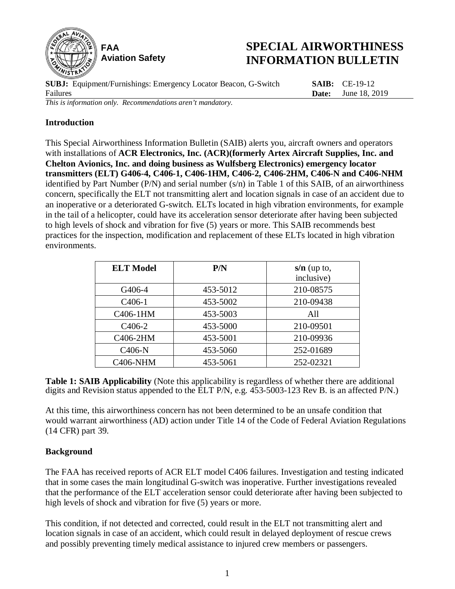

# **SPECIAL AIRWORTHINESS INFORMATION BULLETIN**

**SUBJ:** Equipment/Furnishings: Emergency Locator Beacon, G-Switch Failures **SAIB:** CE-19-12 **Date:** June 18, 2019 *This is information only. Recommendations aren't mandatory.*

## **Introduction**

This Special Airworthiness Information Bulletin (SAIB) alerts you, aircraft owners and operators with installations of **ACR Electronics, Inc. (ACR)(formerly Artex Aircraft Supplies, Inc. and Chelton Avionics, Inc. and doing business as Wulfsberg Electronics) emergency locator transmitters (ELT) G406-4, C406-1, C406-1HM, C406-2, C406-2HM, C406-N and C406-NHM** identified by Part Number (P/N) and serial number (s/n) in Table 1 of this SAIB, of an airworthiness concern, specifically the ELT not transmitting alert and location signals in case of an accident due to an inoperative or a deteriorated G-switch. ELTs located in high vibration environments, for example in the tail of a helicopter, could have its acceleration sensor deteriorate after having been subjected to high levels of shock and vibration for five (5) years or more. This SAIB recommends best practices for the inspection, modification and replacement of these ELTs located in high vibration environments.

| <b>ELT Model</b>    | P/N      | $s/n$ (up to,<br>inclusive) |
|---------------------|----------|-----------------------------|
| G406-4              | 453-5012 | 210-08575                   |
| C <sub>406</sub> -1 | 453-5002 | 210-09438                   |
| C406-1HM            | 453-5003 | A11                         |
| C <sub>4</sub> 06-2 | 453-5000 | 210-09501                   |
| C406-2HM            | 453-5001 | 210-09936                   |
| C406-N              | 453-5060 | 252-01689                   |
| <b>C406-NHM</b>     | 453-5061 | 252-02321                   |

**Table 1: SAIB Applicability** (Note this applicability is regardless of whether there are additional digits and Revision status appended to the ELT P/N, e.g. 453-5003-123 Rev B. is an affected P/N.)

At this time, this airworthiness concern has not been determined to be an unsafe condition that would warrant airworthiness (AD) action under Title 14 of the Code of Federal Aviation Regulations (14 CFR) part 39.

### **Background**

The FAA has received reports of ACR ELT model C406 failures. Investigation and testing indicated that in some cases the main longitudinal G-switch was inoperative. Further investigations revealed that the performance of the ELT acceleration sensor could deteriorate after having been subjected to high levels of shock and vibration for five (5) years or more.

This condition, if not detected and corrected, could result in the ELT not transmitting alert and location signals in case of an accident, which could result in delayed deployment of rescue crews and possibly preventing timely medical assistance to injured crew members or passengers.